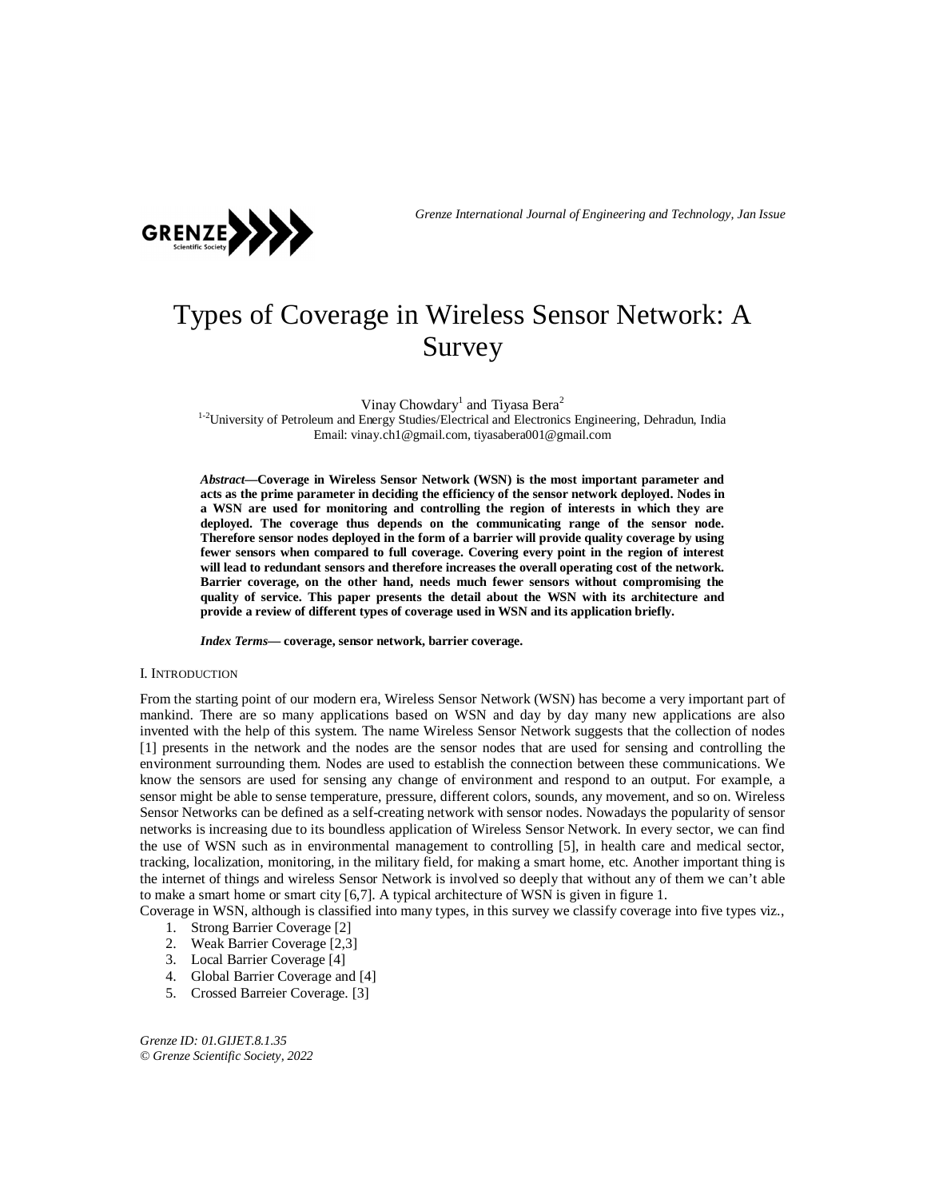**GRENZE** 

*Grenze International Journal of Engineering and Technology, Jan Issue*

# Types of Coverage in Wireless Sensor Network: A Survey

Vinay Chowdary<sup>1</sup> and Tiyasa Bera<sup>2</sup> <sup>1-2</sup>University of Petroleum and Energy Studies/Electrical and Electronics Engineering, Dehradun, India Email: vinay.ch1@gmail.com, tiyasabera001@gmail.com

*Abstract***—Coverage in Wireless Sensor Network (WSN) is the most important parameter and acts as the prime parameter in deciding the efficiency of the sensor network deployed. Nodes in a WSN are used for monitoring and controlling the region of interests in which they are deployed. The coverage thus depends on the communicating range of the sensor node. Therefore sensor nodes deployed in the form of a barrier will provide quality coverage by using fewer sensors when compared to full coverage. Covering every point in the region of interest will lead to redundant sensors and therefore increases the overall operating cost of the network. Barrier coverage, on the other hand, needs much fewer sensors without compromising the quality of service. This paper presents the detail about the WSN with its architecture and provide a review of different types of coverage used in WSN and its application briefly.** 

*Index Terms***— coverage, sensor network, barrier coverage.**

## I. INTRODUCTION

From the starting point of our modern era, Wireless Sensor Network (WSN) has become a very important part of mankind. There are so many applications based on WSN and day by day many new applications are also invented with the help of this system. The name Wireless Sensor Network suggests that the collection of nodes [1] presents in the network and the nodes are the sensor nodes that are used for sensing and controlling the environment surrounding them. Nodes are used to establish the connection between these communications. We know the sensors are used for sensing any change of environment and respond to an output. For example, a sensor might be able to sense temperature, pressure, different colors, sounds, any movement, and so on. Wireless Sensor Networks can be defined as a self-creating network with sensor nodes. Nowadays the popularity of sensor networks is increasing due to its boundless application of Wireless Sensor Network. In every sector, we can find the use of WSN such as in environmental management to controlling [5], in health care and medical sector, tracking, localization, monitoring, in the military field, for making a smart home, etc. Another important thing is the internet of things and wireless Sensor Network is involved so deeply that without any of them we can't able to make a smart home or smart city [6,7]. A typical architecture of WSN is given in figure 1.

Coverage in WSN, although is classified into many types, in this survey we classify coverage into five types viz.,

- 1. Strong Barrier Coverage [2]
- 2. Weak Barrier Coverage [2,3]
- 3. Local Barrier Coverage [4]
- 4. Global Barrier Coverage and [4]
- 5. Crossed Barreier Coverage. [3]

*Grenze ID: 01.GIJET.8.1.35 © Grenze Scientific Society, 2022*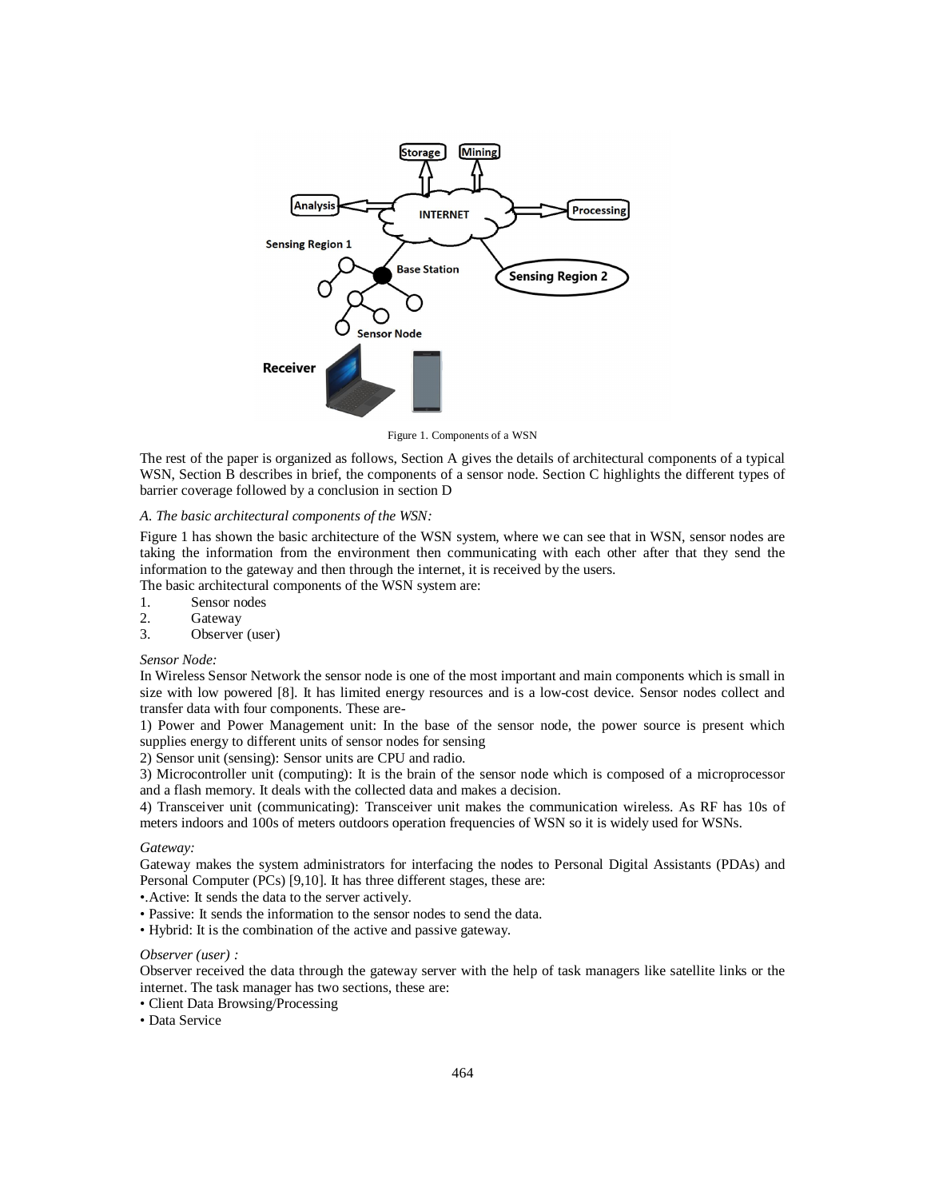

Figure 1. Components of a WSN

The rest of the paper is organized as follows, Section A gives the details of architectural components of a typical WSN, Section B describes in brief, the components of a sensor node. Section C highlights the different types of barrier coverage followed by a conclusion in section D

### *A. The basic architectural components of the WSN:*

Figure 1 has shown the basic architecture of the WSN system, where we can see that in WSN, sensor nodes are taking the information from the environment then communicating with each other after that they send the information to the gateway and then through the internet, it is received by the users.

The basic architectural components of the WSN system are:

- 1. Sensor nodes<br>2. Gateway
- **Gateway**
- 3. Observer (user)

#### *Sensor Node:*

In Wireless Sensor Network the sensor node is one of the most important and main components which is small in size with low powered [8]. It has limited energy resources and is a low-cost device. Sensor nodes collect and transfer data with four components. These are-

1) Power and Power Management unit: In the base of the sensor node, the power source is present which supplies energy to different units of sensor nodes for sensing

2) Sensor unit (sensing): Sensor units are CPU and radio.

3) Microcontroller unit (computing): It is the brain of the sensor node which is composed of a microprocessor and a flash memory. It deals with the collected data and makes a decision.

4) Transceiver unit (communicating): Transceiver unit makes the communication wireless. As RF has 10s of meters indoors and 100s of meters outdoors operation frequencies of WSN so it is widely used for WSNs.

# *Gateway:*

Gateway makes the system administrators for interfacing the nodes to Personal Digital Assistants (PDAs) and Personal Computer (PCs) [9,10]. It has three different stages, these are:

•.Active: It sends the data to the server actively.

• Passive: It sends the information to the sensor nodes to send the data.

• Hybrid: It is the combination of the active and passive gateway.

#### *Observer (user) :*

Observer received the data through the gateway server with the help of task managers like satellite links or the internet. The task manager has two sections, these are:

- Client Data Browsing/Processing
- Data Service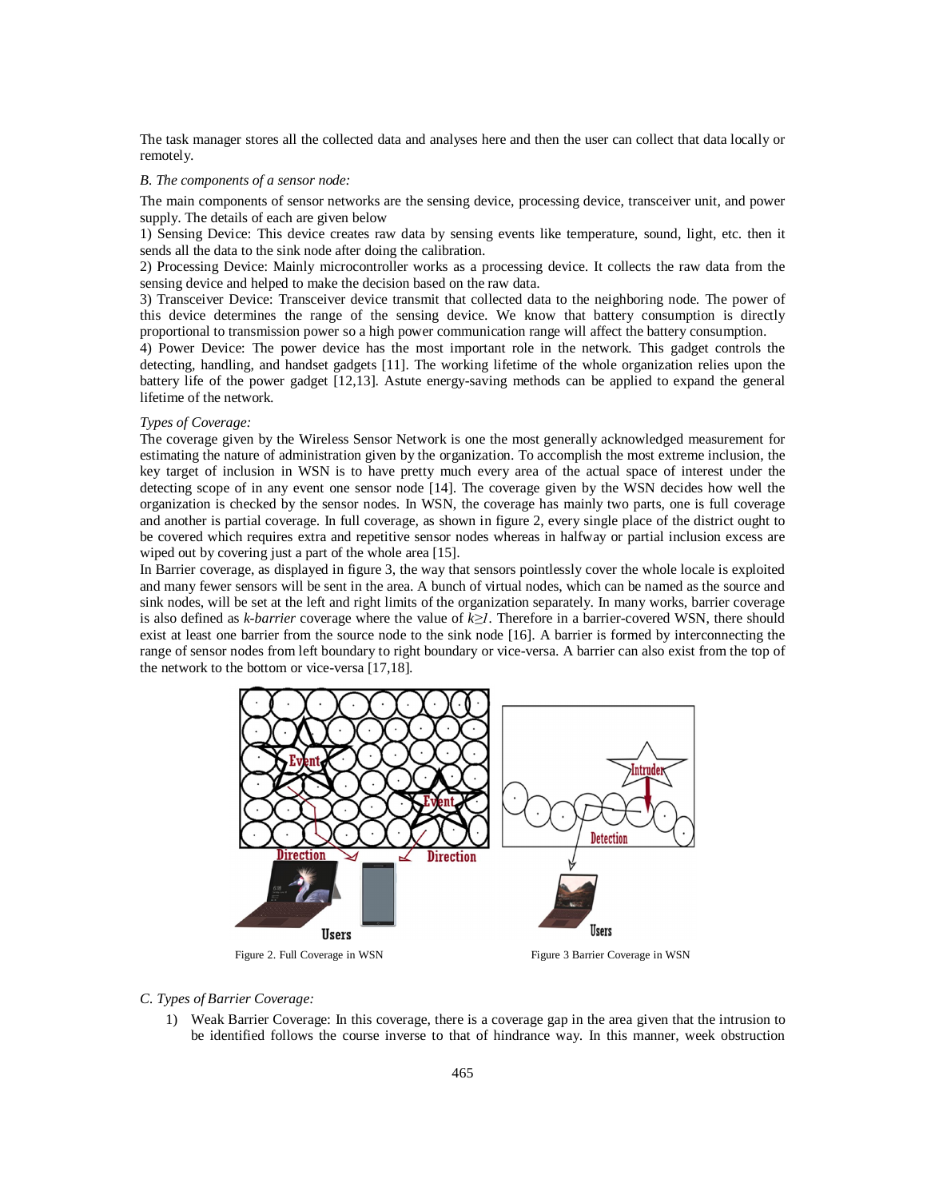The task manager stores all the collected data and analyses here and then the user can collect that data locally or remotely.

#### *B. The components of a sensor node:*

The main components of sensor networks are the sensing device, processing device, transceiver unit, and power supply. The details of each are given below

1) Sensing Device: This device creates raw data by sensing events like temperature, sound, light, etc. then it sends all the data to the sink node after doing the calibration.

2) Processing Device: Mainly microcontroller works as a processing device. It collects the raw data from the sensing device and helped to make the decision based on the raw data.

3) Transceiver Device: Transceiver device transmit that collected data to the neighboring node. The power of this device determines the range of the sensing device. We know that battery consumption is directly proportional to transmission power so a high power communication range will affect the battery consumption.

4) Power Device: The power device has the most important role in the network. This gadget controls the detecting, handling, and handset gadgets [11]. The working lifetime of the whole organization relies upon the battery life of the power gadget [12,13]. Astute energy-saving methods can be applied to expand the general lifetime of the network.

## *Types of Coverage:*

The coverage given by the Wireless Sensor Network is one the most generally acknowledged measurement for estimating the nature of administration given by the organization. To accomplish the most extreme inclusion, the key target of inclusion in WSN is to have pretty much every area of the actual space of interest under the detecting scope of in any event one sensor node [14]. The coverage given by the WSN decides how well the organization is checked by the sensor nodes. In WSN, the coverage has mainly two parts, one is full coverage and another is partial coverage. In full coverage, as shown in figure 2, every single place of the district ought to be covered which requires extra and repetitive sensor nodes whereas in halfway or partial inclusion excess are wiped out by covering just a part of the whole area [15].

In Barrier coverage, as displayed in figure 3, the way that sensors pointlessly cover the whole locale is exploited and many fewer sensors will be sent in the area. A bunch of virtual nodes, which can be named as the source and sink nodes, will be set at the left and right limits of the organization separately. In many works, barrier coverage is also defined as *k-barrier* coverage where the value of *k≥1.* Therefore in a barrier-covered WSN, there should exist at least one barrier from the source node to the sink node [16]. A barrier is formed by interconnecting the range of sensor nodes from left boundary to right boundary or vice-versa. A barrier can also exist from the top of the network to the bottom or vice-versa [17,18].



# *C. Types of Barrier Coverage:*

1) Weak Barrier Coverage: In this coverage, there is a coverage gap in the area given that the intrusion to be identified follows the course inverse to that of hindrance way. In this manner, week obstruction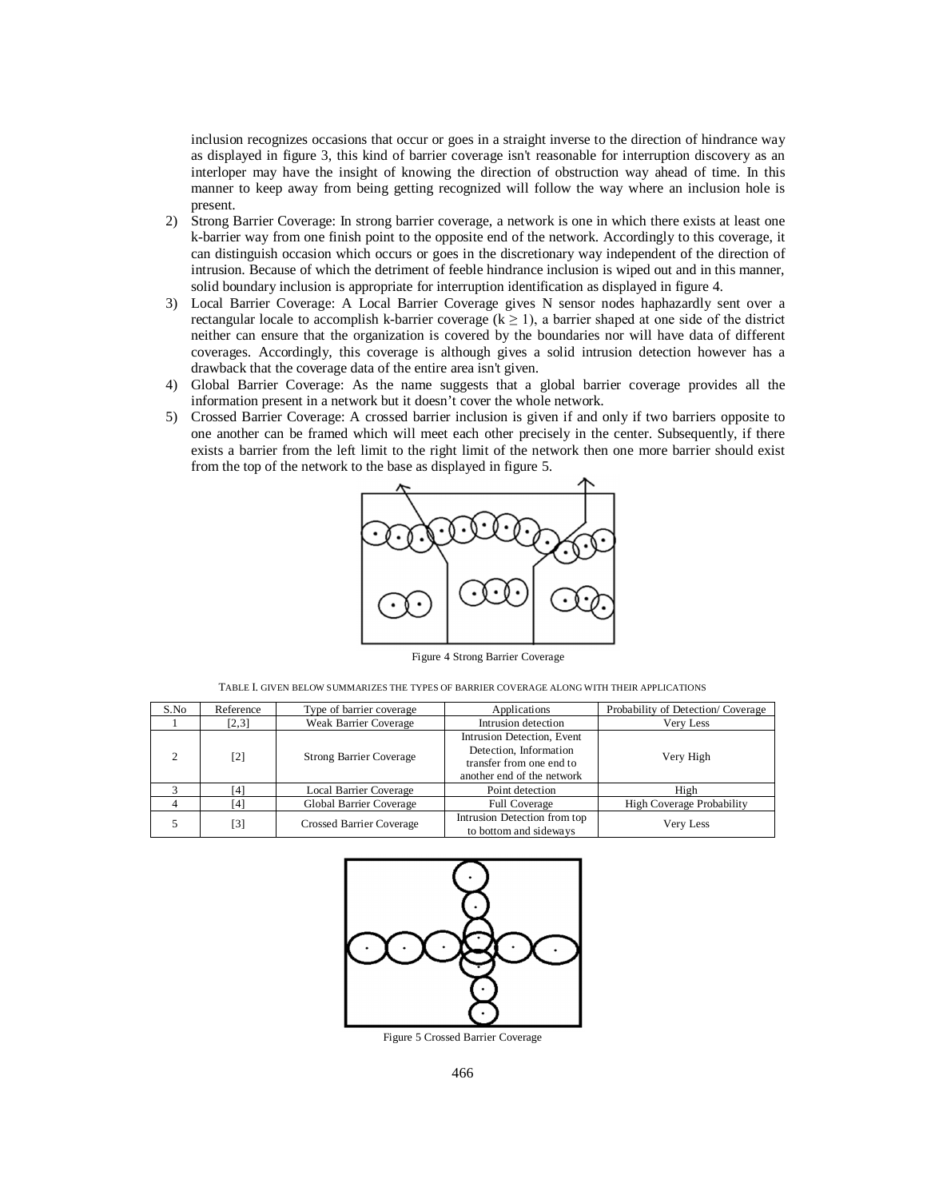inclusion recognizes occasions that occur or goes in a straight inverse to the direction of hindrance way as displayed in figure 3, this kind of barrier coverage isn't reasonable for interruption discovery as an interloper may have the insight of knowing the direction of obstruction way ahead of time. In this manner to keep away from being getting recognized will follow the way where an inclusion hole is present.

- 2) Strong Barrier Coverage: In strong barrier coverage, a network is one in which there exists at least one k-barrier way from one finish point to the opposite end of the network. Accordingly to this coverage, it can distinguish occasion which occurs or goes in the discretionary way independent of the direction of intrusion. Because of which the detriment of feeble hindrance inclusion is wiped out and in this manner, solid boundary inclusion is appropriate for interruption identification as displayed in figure 4.
- 3) Local Barrier Coverage: A Local Barrier Coverage gives N sensor nodes haphazardly sent over a rectangular locale to accomplish k-barrier coverage ( $k \ge 1$ ), a barrier shaped at one side of the district neither can ensure that the organization is covered by the boundaries nor will have data of different coverages. Accordingly, this coverage is although gives a solid intrusion detection however has a drawback that the coverage data of the entire area isn't given.
- 4) Global Barrier Coverage: As the name suggests that a global barrier coverage provides all the information present in a network but it doesn't cover the whole network.
- 5) Crossed Barrier Coverage: A crossed barrier inclusion is given if and only if two barriers opposite to one another can be framed which will meet each other precisely in the center. Subsequently, if there exists a barrier from the left limit to the right limit of the network then one more barrier should exist from the top of the network to the base as displayed in figure 5.



Figure 4 Strong Barrier Coverage

|  | TABLE I. GIVEN BELOW SUMMARIZES THE TYPES OF BARRIER COVERAGE ALONG WITH THEIR APPLICATIONS |
|--|---------------------------------------------------------------------------------------------|
|--|---------------------------------------------------------------------------------------------|

| S.No | Reference         | Type of barrier coverage       | Applications                                                                                                   | Probability of Detection/Coverage |
|------|-------------------|--------------------------------|----------------------------------------------------------------------------------------------------------------|-----------------------------------|
|      | [2,3]             | Weak Barrier Coverage          | Intrusion detection                                                                                            | Verv Less                         |
|      | $\lceil 2 \rceil$ | <b>Strong Barrier Coverage</b> | Intrusion Detection, Event<br>Detection, Information<br>transfer from one end to<br>another end of the network | Very High                         |
|      | [4]               | Local Barrier Coverage         | Point detection                                                                                                | High                              |
|      | $[4]$             | Global Barrier Coverage        | <b>Full Coverage</b>                                                                                           | High Coverage Probability         |
|      | $\lceil 3 \rceil$ | Crossed Barrier Coverage       | Intrusion Detection from top<br>to bottom and sideways                                                         | Very Less                         |



Figure 5 Crossed Barrier Coverage